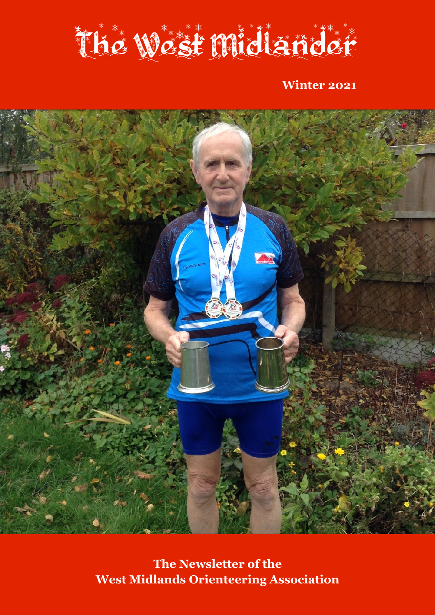

**Winter 2021**



**The Newsletter of the West Midlands Orienteering Association**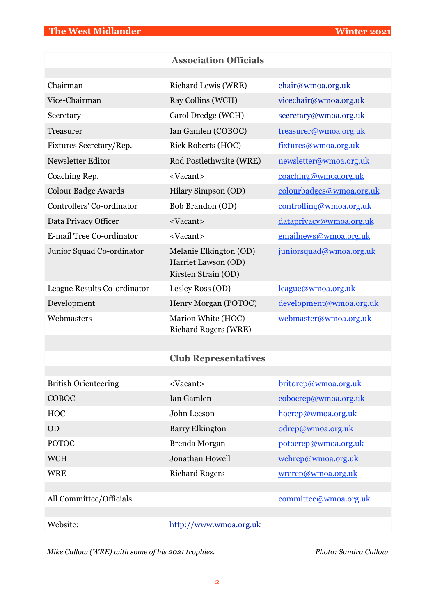|                             | <b>Association Officials</b>                                         |                          |
|-----------------------------|----------------------------------------------------------------------|--------------------------|
| Chairman                    | Richard Lewis (WRE)                                                  | chair@wmoa.org.uk        |
| Vice-Chairman               | Ray Collins (WCH)                                                    | vicechair@wmoa.org.uk    |
| Secretary                   | Carol Dredge (WCH)                                                   | secretary@wmoa.org.uk    |
| Treasurer                   | Ian Gamlen (COBOC)                                                   | treasurer@wmoa.org.uk    |
| Fixtures Secretary/Rep.     | <b>Rick Roberts (HOC)</b>                                            | fixtures@wmoa.org.uk     |
| Newsletter Editor           | Rod Postlethwaite (WRE)                                              | newsletter@wmoa.org.uk   |
|                             |                                                                      |                          |
| Coaching Rep.               | <vacant></vacant>                                                    | coaching@wmoa.org.uk     |
| Colour Badge Awards         | Hilary Simpson (OD)                                                  | colourbadges@wmoa.org.uk |
| Controllers' Co-ordinator   | Bob Brandon (OD)                                                     | controlling@wmoa.org.uk  |
| Data Privacy Officer        | <vacant></vacant>                                                    | dataprivacy@wmoa.org.uk  |
| E-mail Tree Co-ordinator    | <vacant></vacant>                                                    | emailnews@wmoa.org.uk    |
| Junior Squad Co-ordinator   | Melanie Elkington (OD)<br>Harriet Lawson (OD)<br>Kirsten Strain (OD) | juniorsquad@wmoa.org.uk  |
| League Results Co-ordinator | Lesley Ross (OD)                                                     | league@wmoa.org.uk       |
| Development                 | Henry Morgan (POTOC)                                                 | development@wmoa.org.uk  |
| Webmasters                  | Marion White (HOC)<br><b>Richard Rogers (WRE)</b>                    | webmaster@wmoa.org.uk    |
|                             |                                                                      |                          |
|                             | <b>Club Representatives</b>                                          |                          |
|                             |                                                                      |                          |
| <b>British Orienteering</b> | <vacant></vacant>                                                    | britorep@wmoa.org.uk     |
| COBOC                       | Ian Gamlen                                                           | colorep@wmoa.org.uk      |
| <b>HOC</b>                  | John Leeson                                                          | hocrep@wmoa.org.uk       |
| OD                          | <b>Barry Elkington</b>                                               | odrep@wmoa.org.uk        |
| <b>POTOC</b>                | Brenda Morgan                                                        | potocrep@wmoa.org.uk     |
| <b>WCH</b>                  | Jonathan Howell                                                      | wchrep@wmoa.org.uk       |
| <b>WRE</b>                  | <b>Richard Rogers</b>                                                | wrerep@wmoa.org.uk       |
|                             |                                                                      |                          |
| All Committee/Officials     |                                                                      | committee@wmoa.org.uk    |
| Website:                    | http://www.wmoa.org.uk                                               |                          |

*Mike Callow (WRE) with some of his 2021 trophies.* Photo: Sandra Callow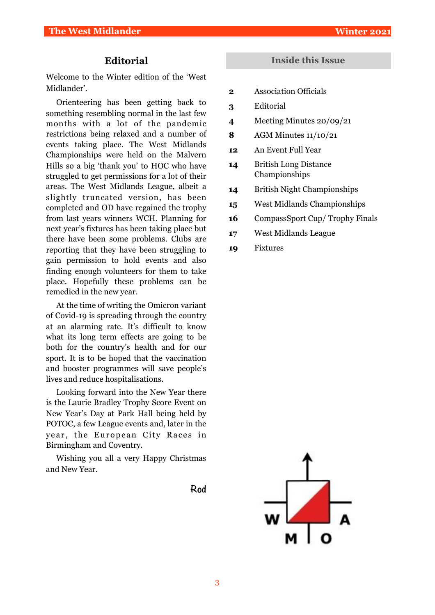# **Editorial**

Welcome to the Winter edition of the 'West Midlander'.

Orienteering has been getting back to something resembling normal in the last few months with a lot of the pandemic restrictions being relaxed and a number of events taking place. The West Midlands Championships were held on the Malvern Hills so a big 'thank you' to HOC who have struggled to get permissions for a lot of their areas. The West Midlands League, albeit a slightly truncated version, has been completed and OD have regained the trophy from last years winners WCH. Planning for next year's fixtures has been taking place but there have been some problems. Clubs are reporting that they have been struggling to gain permission to hold events and also finding enough volunteers for them to take place. Hopefully these problems can be remedied in the new year.

At the time of writing the Omicron variant of Covid-19 is spreading through the country at an alarming rate. It's difficult to know what its long term effects are going to be both for the country's health and for our sport. It is to be hoped that the vaccination and booster programmes will save people's lives and reduce hospitalisations.

Looking forward into the New Year there is the Laurie Bradley Trophy Score Event on New Year's Day at Park Hall being held by POTOC, a few League events and, later in the year, the European City Races in Birmingham and Coventry.

Wishing you all a very Happy Christmas and New Year.

# **Rod**

### **Inside this Issue**

- **2** Association Officials
- **3** Editorial
- **4** Meeting Minutes 20/09/21
- **8** AGM Minutes 11/10/21
- **12** An Event Full Year
- **14** British Long Distance Championships
- **14** British Night Championships
- **15** West Midlands Championships
- **16** CompassSport Cup/ Trophy Finals
- **17** West Midlands League
- **19** Fixtures

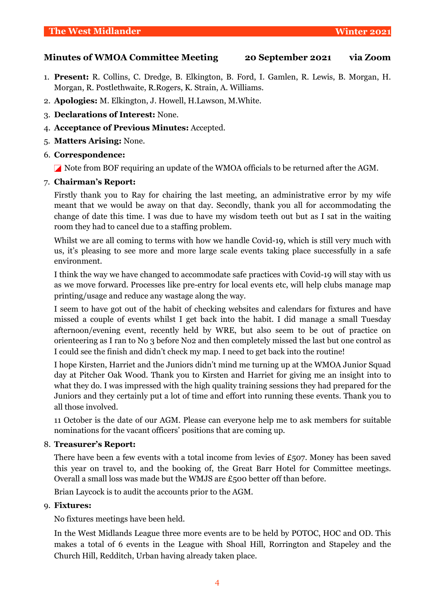## **Minutes of WMOA Committee Meeting 20 September 2021 via Zoom**

- 1. **Present:** R. Collins, C. Dredge, B. Elkington, B. Ford, I. Gamlen, R. Lewis, B. Morgan, H. Morgan, R. Postlethwaite, R.Rogers, K. Strain, A. Williams.
- 2. **Apologies:** M. Elkington, J. Howell, H.Lawson, M.White.
- 3. **Declarations of Interest:** None.
- 4. **Acceptance of Previous Minutes:** Accepted.
- 5. **Matters Arising:** None.
- 6. **Correspondence:**

Note from BOF requiring an update of the WMOA officials to be returned after the AGM.

#### 7. **Chairman's Report:**

Firstly thank you to Ray for chairing the last meeting, an administrative error by my wife meant that we would be away on that day. Secondly, thank you all for accommodating the change of date this time. I was due to have my wisdom teeth out but as I sat in the waiting room they had to cancel due to a staffing problem.

Whilst we are all coming to terms with how we handle Covid-19, which is still very much with us, it's pleasing to see more and more large scale events taking place successfully in a safe environment.

I think the way we have changed to accommodate safe practices with Covid-19 will stay with us as we move forward. Processes like pre-entry for local events etc, will help clubs manage map printing/usage and reduce any wastage along the way.

I seem to have got out of the habit of checking websites and calendars for fixtures and have missed a couple of events whilst I get back into the habit. I did manage a small Tuesday afternoon/evening event, recently held by WRE, but also seem to be out of practice on orienteering as I ran to No 3 before No2 and then completely missed the last but one control as I could see the finish and didn't check my map. I need to get back into the routine!

I hope Kirsten, Harriet and the Juniors didn't mind me turning up at the WMOA Junior Squad day at Pitcher Oak Wood. Thank you to Kirsten and Harriet for giving me an insight into to what they do. I was impressed with the high quality training sessions they had prepared for the Juniors and they certainly put a lot of time and effort into running these events. Thank you to all those involved.

11 October is the date of our AGM. Please can everyone help me to ask members for suitable nominations for the vacant officers' positions that are coming up.

#### 8. **Treasurer's Report:**

There have been a few events with a total income from levies of £507. Money has been saved this year on travel to, and the booking of, the Great Barr Hotel for Committee meetings. Overall a small loss was made but the WMJS are £500 better off than before.

Brian Laycock is to audit the accounts prior to the AGM.

#### 9. **Fixtures:**

No fixtures meetings have been held.

In the West Midlands League three more events are to be held by POTOC, HOC and OD. This makes a total of 6 events in the League with Shoal Hill, Rorrington and Stapeley and the Church Hill, Redditch, Urban having already taken place.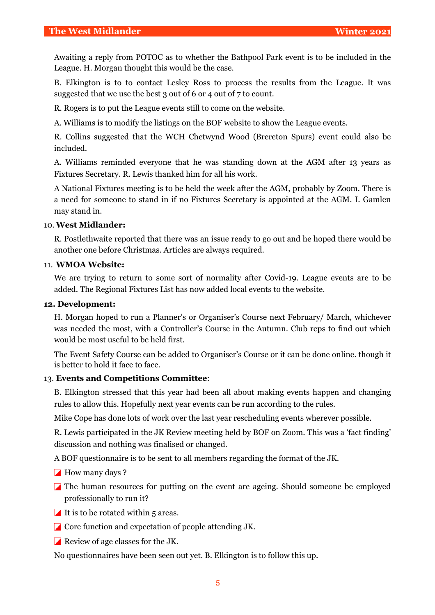Awaiting a reply from POTOC as to whether the Bathpool Park event is to be included in the League. H. Morgan thought this would be the case.

B. Elkington is to to contact Lesley Ross to process the results from the League. It was suggested that we use the best 3 out of 6 or 4 out of 7 to count.

R. Rogers is to put the League events still to come on the website.

A. Williams is to modify the listings on the BOF website to show the League events.

R. Collins suggested that the WCH Chetwynd Wood (Brereton Spurs) event could also be included.

A. Williams reminded everyone that he was standing down at the AGM after 13 years as Fixtures Secretary. R. Lewis thanked him for all his work.

A National Fixtures meeting is to be held the week after the AGM, probably by Zoom. There is a need for someone to stand in if no Fixtures Secretary is appointed at the AGM. I. Gamlen may stand in.

#### 10. **West Midlander:**

R. Postlethwaite reported that there was an issue ready to go out and he hoped there would be another one before Christmas. Articles are always required.

#### 11. **WMOA Website:**

We are trying to return to some sort of normality after Covid-19. League events are to be added. The Regional Fixtures List has now added local events to the website.

#### **12. Development:**

H. Morgan hoped to run a Planner's or Organiser's Course next February/ March, whichever was needed the most, with a Controller's Course in the Autumn. Club reps to find out which would be most useful to be held first.

The Event Safety Course can be added to Organiser's Course or it can be done online. though it is better to hold it face to face.

#### 13. **Events and Competitions Committee**:

B. Elkington stressed that this year had been all about making events happen and changing rules to allow this. Hopefully next year events can be run according to the rules.

Mike Cope has done lots of work over the last year rescheduling events wherever possible.

R. Lewis participated in the JK Review meeting held by BOF on Zoom. This was a 'fact finding' discussion and nothing was finalised or changed.

A BOF questionnaire is to be sent to all members regarding the format of the JK.

How many days ?

The human resources for putting on the event are ageing. Should someone be employed professionally to run it?

- It is to be rotated within  $5$  areas.
- $\Box$  Core function and expectation of people attending JK.
- Review of age classes for the JK.

No questionnaires have been seen out yet. B. Elkington is to follow this up.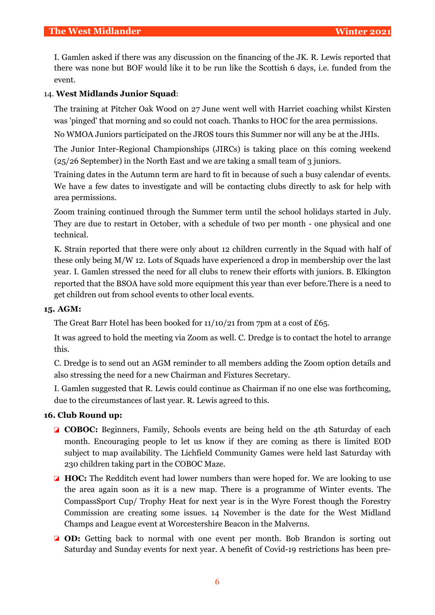I. Gamlen asked if there was any discussion on the financing of the JK. R. Lewis reported that there was none but BOF would like it to be run like the Scottish 6 days, i.e. funded from the event.

# 14. **West Midlands Junior Squad**:

The training at Pitcher Oak Wood on 27 June went well with Harriet coaching whilst Kirsten was 'pinged' that morning and so could not coach. Thanks to HOC for the area permissions.

No WMOA Juniors participated on the JROS tours this Summer nor will any be at the JHIs.

The Junior Inter-Regional Championships (JIRCs) is taking place on this coming weekend (25/26 September) in the North East and we are taking a small team of 3 juniors.

Training dates in the Autumn term are hard to fit in because of such a busy calendar of events. We have a few dates to investigate and will be contacting clubs directly to ask for help with area permissions.

Zoom training continued through the Summer term until the school holidays started in July. They are due to restart in October, with a schedule of two per month - one physical and one technical.

K. Strain reported that there were only about 12 children currently in the Squad with half of these only being M/W 12. Lots of Squads have experienced a drop in membership over the last year. I. Gamlen stressed the need for all clubs to renew their efforts with juniors. B. Elkington reported that the BSOA have sold more equipment this year than ever before.There is a need to get children out from school events to other local events.

# **15. AGM:**

The Great Barr Hotel has been booked for 11/10/21 from 7pm at a cost of £65.

It was agreed to hold the meeting via Zoom as well. C. Dredge is to contact the hotel to arrange this.

C. Dredge is to send out an AGM reminder to all members adding the Zoom option details and also stressing the need for a new Chairman and Fixtures Secretary.

I. Gamlen suggested that R. Lewis could continue as Chairman if no one else was forthcoming, due to the circumstances of last year. R. Lewis agreed to this.

# **16. Club Round up:**

- **Z COBOC:** Beginners, Family, Schools events are being held on the 4th Saturday of each month. Encouraging people to let us know if they are coming as there is limited EOD subject to map availability. The Lichfield Community Games were held last Saturday with 230 children taking part in the COBOC Maze.
- **HOC:** The Redditch event had lower numbers than were hoped for. We are looking to use the area again soon as it is a new map. There is a programme of Winter events. The CompassSport Cup/ Trophy Heat for next year is in the Wyre Forest though the Forestry Commission are creating some issues. 14 November is the date for the West Midland Champs and League event at Worcestershire Beacon in the Malverns.
- **OD:** Getting back to normal with one event per month. Bob Brandon is sorting out Saturday and Sunday events for next year. A benefit of Covid-19 restrictions has been pre-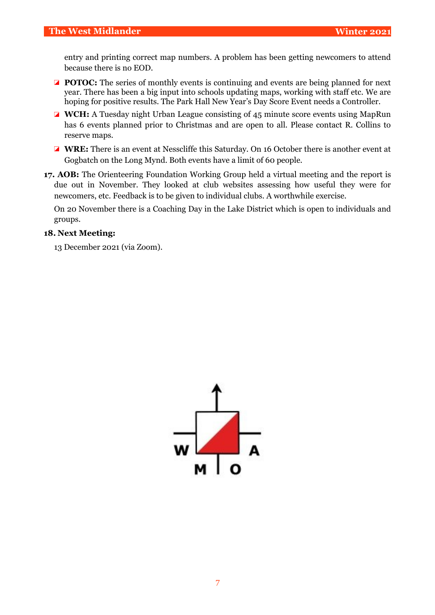entry and printing correct map numbers. A problem has been getting newcomers to attend because there is no EOD.

- **POTOC:** The series of monthly events is continuing and events are being planned for next year. There has been a big input into schools updating maps, working with staff etc. We are hoping for positive results. The Park Hall New Year's Day Score Event needs a Controller.
- **WCH:** A Tuesday night Urban League consisting of 45 minute score events using MapRun has 6 events planned prior to Christmas and are open to all. Please contact R. Collins to reserve maps.
- **WRE:** There is an event at Nesscliffe this Saturday. On 16 October there is another event at Gogbatch on the Long Mynd. Both events have a limit of 60 people.
- **17. AOB:** The Orienteering Foundation Working Group held a virtual meeting and the report is due out in November. They looked at club websites assessing how useful they were for newcomers, etc. Feedback is to be given to individual clubs. A worthwhile exercise.

On 20 November there is a Coaching Day in the Lake District which is open to individuals and groups.

# **18. Next Meeting:**

13 December 2021 (via Zoom).

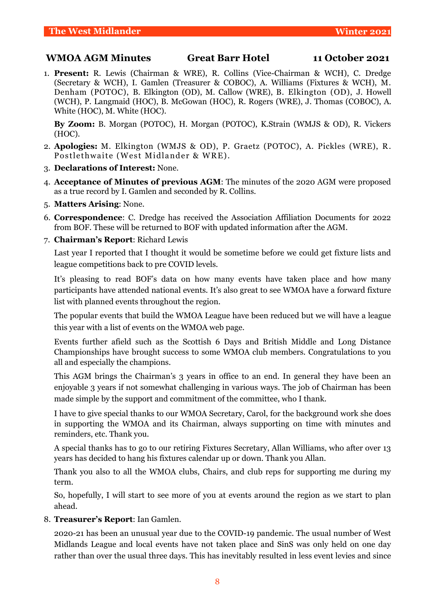# **WMOA AGM Minutes Great Barr Hotel 11 October 2021**

1. **Present:** R. Lewis (Chairman & WRE), R. Collins (Vice-Chairman & WCH), C. Dredge (Secretary & WCH), I. Gamlen (Treasurer & COBOC), A. Williams (Fixtures & WCH), M. Denham (POTOC), B. Elkington (OD), M. Callow (WRE), B. Elkington (OD), J. Howell (WCH), P. Langmaid (HOC), B. McGowan (HOC), R. Rogers (WRE), J. Thomas (COBOC), A. White (HOC), M. White (HOC).

**By Zoom:** B. Morgan (POTOC), H. Morgan (POTOC), K.Strain (WMJS & OD), R. Vickers (HOC).

- 2. **Apologies:** M. Elkington (WMJS & OD), P. Graetz (POTOC), A. Pickles (WRE), R. Postlethwaite (West Midlander & WRE).
- 3. **Declarations of Interest:** None.
- 4. **Acceptance of Minutes of previous AGM**: The minutes of the 2020 AGM were proposed as a true record by I. Gamlen and seconded by R. Collins.
- 5. **Matters Arising**: None.
- 6. **Correspondence**: C. Dredge has received the Association Affiliation Documents for 2022 from BOF. These will be returned to BOF with updated information after the AGM.

#### 7. **Chairman's Report**: Richard Lewis

Last year I reported that I thought it would be sometime before we could get fixture lists and league competitions back to pre COVID levels.

It's pleasing to read BOF's data on how many events have taken place and how many participants have attended national events. It's also great to see WMOA have a forward fixture list with planned events throughout the region.

The popular events that build the WMOA League have been reduced but we will have a league this year with a list of events on the WMOA web page.

Events further afield such as the Scottish 6 Days and British Middle and Long Distance Championships have brought success to some WMOA club members. Congratulations to you all and especially the champions.

This AGM brings the Chairman's 3 years in office to an end. In general they have been an enjoyable 3 years if not somewhat challenging in various ways. The job of Chairman has been made simple by the support and commitment of the committee, who I thank.

I have to give special thanks to our WMOA Secretary, Carol, for the background work she does in supporting the WMOA and its Chairman, always supporting on time with minutes and reminders, etc. Thank you.

A special thanks has to go to our retiring Fixtures Secretary, Allan Williams, who after over 13 years has decided to hang his fixtures calendar up or down. Thank you Allan.

Thank you also to all the WMOA clubs, Chairs, and club reps for supporting me during my term.

So, hopefully, I will start to see more of you at events around the region as we start to plan ahead.

8. **Treasurer's Report**: Ian Gamlen.

2020-21 has been an unusual year due to the COVID-19 pandemic. The usual number of West Midlands League and local events have not taken place and SinS was only held on one day rather than over the usual three days. This has inevitably resulted in less event levies and since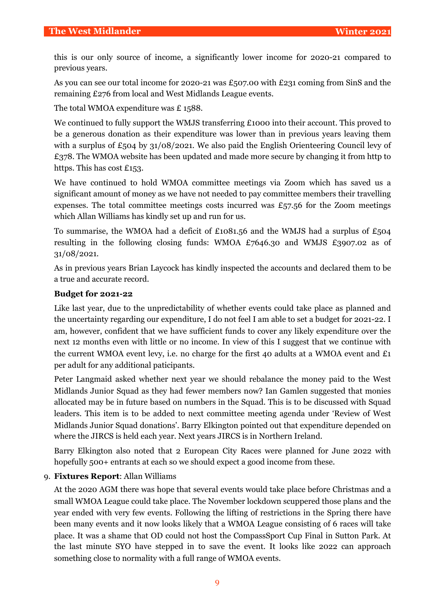this is our only source of income, a significantly lower income for 2020-21 compared to previous years.

As you can see our total income for 2020-21 was £507.00 with £231 coming from SinS and the remaining £276 from local and West Midlands League events.

The total WMOA expenditure was £1588.

We continued to fully support the WMJS transferring £1000 into their account. This proved to be a generous donation as their expenditure was lower than in previous years leaving them with a surplus of £504 by 31/08/2021. We also paid the English Orienteering Council levy of £378. The WMOA website has been updated and made more secure by changing it from http to https. This has cost £153.

We have continued to hold WMOA committee meetings via Zoom which has saved us a significant amount of money as we have not needed to pay committee members their travelling expenses. The total committee meetings costs incurred was  $\pounds$ 57.56 for the Zoom meetings which Allan Williams has kindly set up and run for us.

To summarise, the WMOA had a deficit of £1081.56 and the WMJS had a surplus of £504 resulting in the following closing funds: WMOA £7646.30 and WMJS £3907.02 as of 31/08/2021.

As in previous years Brian Laycock has kindly inspected the accounts and declared them to be a true and accurate record.

# **Budget for 2021-22**

Like last year, due to the unpredictability of whether events could take place as planned and the uncertainty regarding our expenditure, I do not feel I am able to set a budget for 2021-22. I am, however, confident that we have sufficient funds to cover any likely expenditure over the next 12 months even with little or no income. In view of this I suggest that we continue with the current WMOA event levy, i.e. no charge for the first 40 adults at a WMOA event and  $\mathcal{L}_1$ per adult for any additional paticipants.

Peter Langmaid asked whether next year we should rebalance the money paid to the West Midlands Junior Squad as they had fewer members now? Ian Gamlen suggested that monies allocated may be in future based on numbers in the Squad. This is to be discussed with Squad leaders. This item is to be added to next committee meeting agenda under 'Review of West Midlands Junior Squad donations'. Barry Elkington pointed out that expenditure depended on where the JIRCS is held each year. Next years JIRCS is in Northern Ireland.

Barry Elkington also noted that 2 European City Races were planned for June 2022 with hopefully 500+ entrants at each so we should expect a good income from these.

# 9. **Fixtures Report**: Allan Williams

At the 2020 AGM there was hope that several events would take place before Christmas and a small WMOA League could take place. The November lockdown scuppered those plans and the year ended with very few events. Following the lifting of restrictions in the Spring there have been many events and it now looks likely that a WMOA League consisting of 6 races will take place. It was a shame that OD could not host the CompassSport Cup Final in Sutton Park. At the last minute SYO have stepped in to save the event. It looks like 2022 can approach something close to normality with a full range of WMOA events.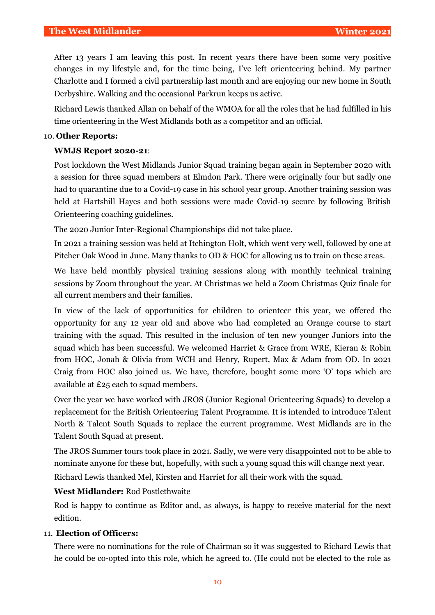After 13 years I am leaving this post. In recent years there have been some very positive changes in my lifestyle and, for the time being, I've left orienteering behind. My partner Charlotte and I formed a civil partnership last month and are enjoying our new home in South Derbyshire. Walking and the occasional Parkrun keeps us active.

Richard Lewis thanked Allan on behalf of the WMOA for all the roles that he had fulfilled in his time orienteering in the West Midlands both as a competitor and an official.

# 10. **Other Reports:**

# **WMJS Report 2020-21**:

Post lockdown the West Midlands Junior Squad training began again in September 2020 with a session for three squad members at Elmdon Park. There were originally four but sadly one had to quarantine due to a Covid-19 case in his school year group. Another training session was held at Hartshill Hayes and both sessions were made Covid-19 secure by following British Orienteering coaching guidelines.

The 2020 Junior Inter-Regional Championships did not take place.

In 2021 a training session was held at Itchington Holt, which went very well, followed by one at Pitcher Oak Wood in June. Many thanks to OD & HOC for allowing us to train on these areas.

We have held monthly physical training sessions along with monthly technical training sessions by Zoom throughout the year. At Christmas we held a Zoom Christmas Quiz finale for all current members and their families.

In view of the lack of opportunities for children to orienteer this year, we offered the opportunity for any 12 year old and above who had completed an Orange course to start training with the squad. This resulted in the inclusion of ten new younger Juniors into the squad which has been successful. We welcomed Harriet & Grace from WRE, Kieran & Robin from HOC, Jonah & Olivia from WCH and Henry, Rupert, Max & Adam from OD. In 2021 Craig from HOC also joined us. We have, therefore, bought some more 'O' tops which are available at £25 each to squad members.

Over the year we have worked with JROS (Junior Regional Orienteering Squads) to develop a replacement for the British Orienteering Talent Programme. It is intended to introduce Talent North & Talent South Squads to replace the current programme. West Midlands are in the Talent South Squad at present.

The JROS Summer tours took place in 2021. Sadly, we were very disappointed not to be able to nominate anyone for these but, hopefully, with such a young squad this will change next year. Richard Lewis thanked Mel, Kirsten and Harriet for all their work with the squad.

# **West Midlander:** Rod Postlethwaite

Rod is happy to continue as Editor and, as always, is happy to receive material for the next edition.

# 11. **Election of Officers:**

There were no nominations for the role of Chairman so it was suggested to Richard Lewis that he could be co-opted into this role, which he agreed to. (He could not be elected to the role as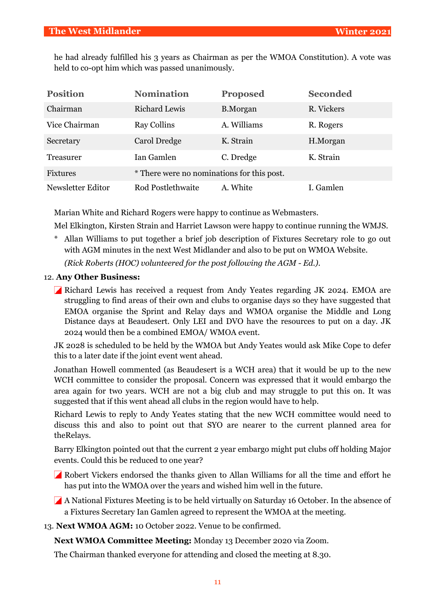he had already fulfilled his 3 years as Chairman as per the WMOA Constitution). A vote was held to co-opt him which was passed unanimously.

| <b>Position</b>   | <b>Nomination</b>                          | <b>Proposed</b> | <b>Seconded</b> |
|-------------------|--------------------------------------------|-----------------|-----------------|
| Chairman          | <b>Richard Lewis</b>                       | <b>B.Morgan</b> | R. Vickers      |
| Vice Chairman     | <b>Ray Collins</b>                         | A. Williams     | R. Rogers       |
| Secretary         | Carol Dredge                               | K. Strain       | H.Morgan        |
| Treasurer         | Ian Gamlen                                 | C. Dredge       | K. Strain       |
| <b>Fixtures</b>   | * There were no nominations for this post. |                 |                 |
| Newsletter Editor | Rod Postlethwaite                          | A. White        | I. Gamlen       |

Marian White and Richard Rogers were happy to continue as Webmasters.

Mel Elkington, Kirsten Strain and Harriet Lawson were happy to continue running the WMJS.

\* Allan Williams to put together a brief job description of Fixtures Secretary role to go out with AGM minutes in the next West Midlander and also to be put on WMOA Website.

*(Rick Roberts (HOC) volunteered for the post following the AGM - Ed.).* 

# 12. **Any Other Business:**

Richard Lewis has received a request from Andy Yeates regarding JK 2024. EMOA are struggling to find areas of their own and clubs to organise days so they have suggested that EMOA organise the Sprint and Relay days and WMOA organise the Middle and Long Distance days at Beaudesert. Only LEI and DVO have the resources to put on a day. JK 2024 would then be a combined EMOA/ WMOA event.

JK 2028 is scheduled to be held by the WMOA but Andy Yeates would ask Mike Cope to defer this to a later date if the joint event went ahead.

Jonathan Howell commented (as Beaudesert is a WCH area) that it would be up to the new WCH committee to consider the proposal. Concern was expressed that it would embargo the area again for two years. WCH are not a big club and may struggle to put this on. It was suggested that if this went ahead all clubs in the region would have to help.

Richard Lewis to reply to Andy Yeates stating that the new WCH committee would need to discuss this and also to point out that SYO are nearer to the current planned area for theRelays.

Barry Elkington pointed out that the current 2 year embargo might put clubs off holding Major events. Could this be reduced to one year?

Robert Vickers endorsed the thanks given to Allan Williams for all the time and effort he has put into the WMOA over the years and wished him well in the future.

A National Fixtures Meeting is to be held virtually on Saturday 16 October. In the absence of a Fixtures Secretary Ian Gamlen agreed to represent the WMOA at the meeting.

13. **Next WMOA AGM:** 10 October 2022. Venue to be confirmed.

**Next WMOA Committee Meeting:** Monday 13 December 2020 via Zoom.

The Chairman thanked everyone for attending and closed the meeting at 8.30.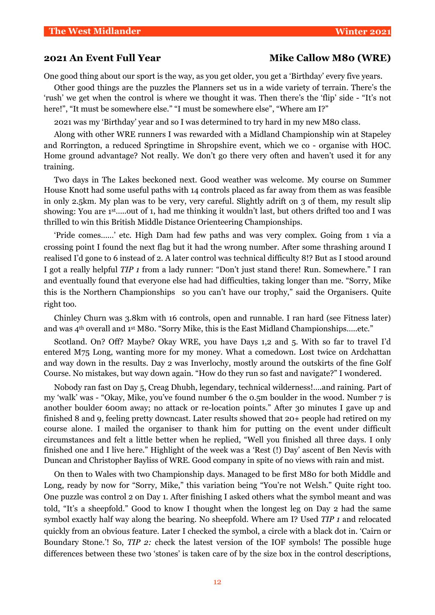# **2021 An Event Full Year Mike Callow M80 (WRE)**

One good thing about our sport is the way, as you get older, you get a 'Birthday' every five years.

Other good things are the puzzles the Planners set us in a wide variety of terrain. There's the 'rush' we get when the control is where we thought it was. Then there's the 'flip' side - "It's not here!", "It must be somewhere else." "I must be somewhere else", "Where am I?"

2021 was my 'Birthday' year and so I was determined to try hard in my new M80 class.

Along with other WRE runners I was rewarded with a Midland Championship win at Stapeley and Rorrington, a reduced Springtime in Shropshire event, which we co - organise with HOC. Home ground advantage? Not really. We don't go there very often and haven't used it for any training.

Two days in The Lakes beckoned next. Good weather was welcome. My course on Summer House Knott had some useful paths with 14 controls placed as far away from them as was feasible in only 2.5km. My plan was to be very, very careful. Slightly adrift on 3 of them, my result slip showing: You are 1st…..out of 1, had me thinking it wouldn't last, but others drifted too and I was thrilled to win this British Middle Distance Orienteering Championships.

'Pride comes……' etc. High Dam had few paths and was very complex. Going from 1 via a crossing point I found the next flag but it had the wrong number. After some thrashing around I realised I'd gone to 6 instead of 2. A later control was technical difficulty 8!? But as I stood around I got a really helpful *TIP 1* from a lady runner: "Don't just stand there! Run. Somewhere." I ran and eventually found that everyone else had had difficulties, taking longer than me. "Sorry, Mike this is the Northern Championships so you can't have our trophy," said the Organisers. Quite right too.

Chinley Churn was 3.8km with 16 controls, open and runnable. I ran hard (see Fitness later) and was 4th overall and 1st M80. "Sorry Mike, this is the East Midland Championships…..etc."

Scotland. On? Off? Maybe? Okay WRE, you have Days 1,2 and 5. With so far to travel I'd entered M75 Long, wanting more for my money. What a comedown. Lost twice on Ardchattan and way down in the results. Day 2 was Inverlochy, mostly around the outskirts of the fine Golf Course. No mistakes, but way down again. "How do they run so fast and navigate?" I wondered.

Nobody ran fast on Day 5, Creag Dhubh, legendary, technical wilderness!….and raining. Part of my 'walk' was - "Okay, Mike, you've found number 6 the 0.5m boulder in the wood. Number 7 is another boulder 600m away; no attack or re-location points." After 30 minutes I gave up and finished 8 and 9, feeling pretty downcast. Later results showed that 20+ people had retired on my course alone. I mailed the organiser to thank him for putting on the event under difficult circumstances and felt a little better when he replied, "Well you finished all three days. I only finished one and I live here." Highlight of the week was a 'Rest (!) Day' ascent of Ben Nevis with Duncan and Christopher Bayliss of WRE. Good company in spite of no views with rain and mist.

On then to Wales with two Championship days. Managed to be first M80 for both Middle and Long, ready by now for "Sorry, Mike," this variation being "You're not Welsh." Quite right too. One puzzle was control 2 on Day 1. After finishing I asked others what the symbol meant and was told, "It's a sheepfold." Good to know I thought when the longest leg on Day 2 had the same symbol exactly half way along the bearing. No sheepfold. Where am I? Used *TIP 1* and relocated quickly from an obvious feature. Later I checked the symbol, a circle with a black dot in. 'Cairn or Boundary Stone.'! So, *TIP 2:* check the latest version of the IOF symbols! The possible huge differences between these two 'stones' is taken care of by the size box in the control descriptions,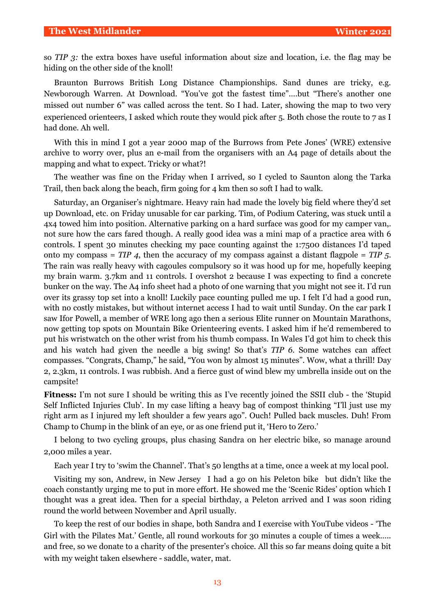so *TIP 3:* the extra boxes have useful information about size and location, i.e. the flag may be hiding on the other side of the knoll!

Braunton Burrows British Long Distance Championships. Sand dunes are tricky, e.g. Newborough Warren. At Download. "You've got the fastest time"….but "There's another one missed out number 6" was called across the tent. So I had. Later, showing the map to two very experienced orienteers, I asked which route they would pick after 5. Both chose the route to 7 as I had done. Ah well.

With this in mind I got a year 2000 map of the Burrows from Pete Jones' (WRE) extensive archive to worry over, plus an e-mail from the organisers with an A4 page of details about the mapping and what to expect. Tricky or what?!

The weather was fine on the Friday when I arrived, so I cycled to Saunton along the Tarka Trail, then back along the beach, firm going for 4 km then so soft I had to walk.

Saturday, an Organiser's nightmare. Heavy rain had made the lovely big field where they'd set up Download, etc. on Friday unusable for car parking. Tim, of Podium Catering, was stuck until a 4x4 towed him into position. Alternative parking on a hard surface was good for my camper van,. not sure how the cars fared though. A really good idea was a mini map of a practice area with 6 controls. I spent 30 minutes checking my pace counting against the 1:7500 distances I'd taped onto my compass = *TIP 4*, then the accuracy of my compass against a distant flagpole = *TIP 5*. The rain was really heavy with cagoules compulsory so it was hood up for me, hopefully keeping my brain warm. 3.7km and 11 controls. I overshot 2 because I was expecting to find a concrete bunker on the way. The A4 info sheet had a photo of one warning that you might not see it. I'd run over its grassy top set into a knoll! Luckily pace counting pulled me up. I felt I'd had a good run, with no costly mistakes, but without internet access I had to wait until Sunday. On the car park I saw Ifor Powell, a member of WRE long ago then a serious Elite runner on Mountain Marathons, now getting top spots on Mountain Bike Orienteering events. I asked him if he'd remembered to put his wristwatch on the other wrist from his thumb compass. In Wales I'd got him to check this and his watch had given the needle a big swing! So that's *TIP 6.* Some watches can affect compasses. "Congrats, Champ," he said, "You won by almost 15 minutes". Wow, what a thrill! Day 2, 2.3km, 11 controls. I was rubbish. And a fierce gust of wind blew my umbrella inside out on the campsite!

**Fitness:** I'm not sure I should be writing this as I've recently joined the SSII club - the 'Stupid Self Inflicted Injuries Club'. In my case lifting a heavy bag of compost thinking "I'll just use my right arm as I injured my left shoulder a few years ago". Ouch! Pulled back muscles. Duh! From Champ to Chump in the blink of an eye, or as one friend put it, 'Hero to Zero.'

I belong to two cycling groups, plus chasing Sandra on her electric bike, so manage around 2,000 miles a year.

Each year I try to 'swim the Channel'. That's 50 lengths at a time, once a week at my local pool.

Visiting my son, Andrew, in New Jersey I had a go on his Peleton bike but didn't like the coach constantly urging me to put in more effort. He showed me the 'Scenic Rides' option which I thought was a great idea. Then for a special birthday, a Peleton arrived and I was soon riding round the world between November and April usually.

To keep the rest of our bodies in shape, both Sandra and I exercise with YouTube videos - 'The Girl with the Pilates Mat.' Gentle, all round workouts for 30 minutes a couple of times a week….. and free, so we donate to a charity of the presenter's choice. All this so far means doing quite a bit with my weight taken elsewhere - saddle, water, mat.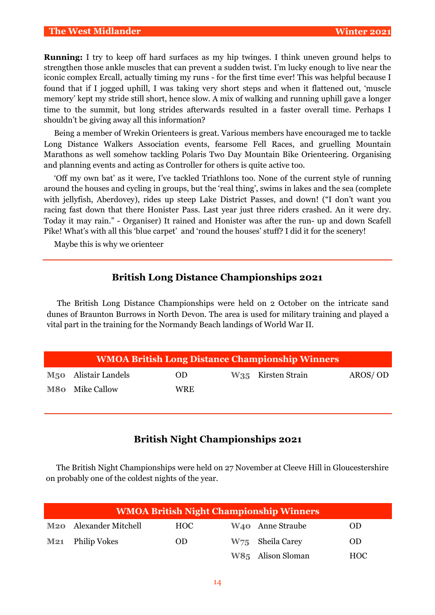#### **The West Midlander Winter 2021**

**Running:** I try to keep off hard surfaces as my hip twinges. I think uneven ground helps to strengthen those ankle muscles that can prevent a sudden twist. I'm lucky enough to live near the iconic complex Ercall, actually timing my runs - for the first time ever! This was helpful because I found that if I jogged uphill, I was taking very short steps and when it flattened out, 'muscle memory' kept my stride still short, hence slow. A mix of walking and running uphill gave a longer time to the summit, but long strides afterwards resulted in a faster overall time. Perhaps I shouldn't be giving away all this information?

Being a member of Wrekin Orienteers is great. Various members have encouraged me to tackle Long Distance Walkers Association events, fearsome Fell Races, and gruelling Mountain Marathons as well somehow tackling Polaris Two Day Mountain Bike Orienteering. Organising and planning events and acting as Controller for others is quite active too.

'Off my own bat' as it were, I've tackled Triathlons too. None of the current style of running around the houses and cycling in groups, but the 'real thing', swims in lakes and the sea (complete with jellyfish, Aberdovey), rides up steep Lake District Passes, and down! ("I don't want you racing fast down that there Honister Pass. Last year just three riders crashed. An it were dry. Today it may rain." - Organiser) It rained and Honister was after the run- up and down Scafell Pike! What's with all this 'blue carpet' and 'round the houses' stuff? I did it for the scenery!

Maybe this is why we orienteer

# **British Long Distance Championships 2021**

The British Long Distance Championships were held on 2 October on the intricate sand dunes of Braunton Burrows in North Devon. The area is used for military training and played a vital part in the training for the Normandy Beach landings of World War II.

| <b>WMOA British Long Distance Championship Winners</b> |            |  |                                |         |  |  |  |  |  |  |  |
|--------------------------------------------------------|------------|--|--------------------------------|---------|--|--|--|--|--|--|--|
| M <sub>50</sub> Alistair Landels                       | OD.        |  | W <sub>35</sub> Kirsten Strain | AROS/OD |  |  |  |  |  |  |  |
| <b>M80</b> Mike Callow                                 | <b>WRE</b> |  |                                |         |  |  |  |  |  |  |  |

# **British Night Championships 2021**

The British Night Championships were held on 27 November at Cleeve Hill in Gloucestershire on probably one of the coldest nights of the year.

| <b>WMOA British Night Championship Winners</b> |     |                              |            |  |  |  |  |  |  |  |
|------------------------------------------------|-----|------------------------------|------------|--|--|--|--|--|--|--|
| M <sub>20</sub> Alexander Mitchell             | HOC | W <sub>40</sub> Anne Straube | <b>OD</b>  |  |  |  |  |  |  |  |
| M21 Philip Vokes                               | OD. | W75 Sheila Carey             | <b>OD</b>  |  |  |  |  |  |  |  |
|                                                |     | W85 Alison Sloman            | <b>HOC</b> |  |  |  |  |  |  |  |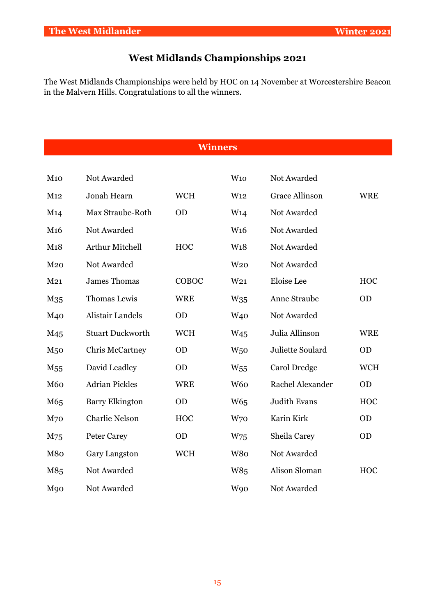# **West Midlands Championships 2021**

The West Midlands Championships were held by HOC on 14 November at Worcestershire Beacon in the Malvern Hills. Congratulations to all the winners.

**Winners**

| M10             | Not Awarded             |            | W10             | Not Awarded           |            |
|-----------------|-------------------------|------------|-----------------|-----------------------|------------|
| M12             | Jonah Hearn             | <b>WCH</b> | W <sub>12</sub> | <b>Grace Allinson</b> | <b>WRE</b> |
| M14             | Max Straube-Roth        | <b>OD</b>  | W <sub>14</sub> | Not Awarded           |            |
| M <sub>16</sub> | Not Awarded             |            | W <sub>16</sub> | Not Awarded           |            |
| M18             | Arthur Mitchell         | <b>HOC</b> | W <sub>18</sub> | Not Awarded           |            |
| M <sub>20</sub> | Not Awarded             |            | W <sub>20</sub> | Not Awarded           |            |
| M <sub>21</sub> | <b>James Thomas</b>     | COBOC      | W <sub>21</sub> | Eloise Lee            | <b>HOC</b> |
| M <sub>35</sub> | Thomas Lewis            | <b>WRE</b> | W <sub>35</sub> | Anne Straube          | <b>OD</b>  |
| M <sub>40</sub> | <b>Alistair Landels</b> | <b>OD</b>  | W <sub>40</sub> | Not Awarded           |            |
| M <sub>45</sub> | <b>Stuart Duckworth</b> | <b>WCH</b> | W <sub>45</sub> | Julia Allinson        | <b>WRE</b> |
| M <sub>50</sub> | <b>Chris McCartney</b>  | <b>OD</b>  | W <sub>50</sub> | Juliette Soulard      | <b>OD</b>  |
| M <sub>55</sub> | David Leadley           | <b>OD</b>  | W <sub>55</sub> | Carol Dredge          | <b>WCH</b> |
| <b>M60</b>      | <b>Adrian Pickles</b>   | <b>WRE</b> | W <sub>60</sub> | Rachel Alexander      | <b>OD</b>  |
| M65             | <b>Barry Elkington</b>  | <b>OD</b>  | W65             | <b>Judith Evans</b>   | <b>HOC</b> |
| M <sub>70</sub> | <b>Charlie Nelson</b>   | <b>HOC</b> | W70             | Karin Kirk            | <b>OD</b>  |
| M75             | <b>Peter Carey</b>      | <b>OD</b>  | W75             | Sheila Carey          | <b>OD</b>  |
| M80             | <b>Gary Langston</b>    | <b>WCH</b> | W80             | Not Awarded           |            |
| M85             | Not Awarded             |            | W85             | Alison Sloman         | <b>HOC</b> |
| M <sub>90</sub> | Not Awarded             |            | <b>W90</b>      | Not Awarded           |            |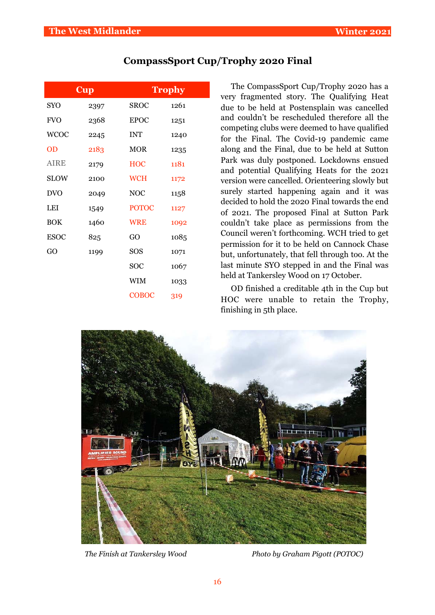| <b>CompassSport Cup/Trophy 2020 Final</b> |  |  |  |
|-------------------------------------------|--|--|--|
|-------------------------------------------|--|--|--|

| <b>Cup</b>  |      | <b>Trophy</b> |      |  |  |  |  |
|-------------|------|---------------|------|--|--|--|--|
| <b>SYO</b>  | 2397 | <b>SROC</b>   | 1261 |  |  |  |  |
| <b>FVO</b>  | 2368 | <b>EPOC</b>   | 1251 |  |  |  |  |
| <b>WCOC</b> | 2245 | <b>INT</b>    | 1240 |  |  |  |  |
| <b>OD</b>   | 2183 | <b>MOR</b>    | 1235 |  |  |  |  |
| AIRE        | 2179 | <b>HOC</b>    | 1181 |  |  |  |  |
| <b>SLOW</b> | 2100 | <b>WCH</b>    | 1172 |  |  |  |  |
| <b>DVO</b>  | 2049 | <b>NOC</b>    | 1158 |  |  |  |  |
| LEI         | 1549 | <b>POTOC</b>  | 1127 |  |  |  |  |
| <b>BOK</b>  | 1460 | <b>WRE</b>    | 1092 |  |  |  |  |
| <b>ESOC</b> | 825  | GO            | 1085 |  |  |  |  |
| GO          | 1199 | SOS           | 1071 |  |  |  |  |
|             |      | <b>SOC</b>    | 1067 |  |  |  |  |
|             |      | <b>WIM</b>    | 1033 |  |  |  |  |
|             |      | COBOC         | 319  |  |  |  |  |

The CompassSport Cup/Trophy 2020 has a very fragmented story. The Qualifying Heat due to be held at Postensplain was cancelled and couldn't be rescheduled therefore all the competing clubs were deemed to have qualified for the Final. The Covid-19 pandemic came along and the Final, due to be held at Sutton Park was duly postponed. Lockdowns ensued and potential Qualifying Heats for the 2021 version were cancelled. Orienteering slowly but surely started happening again and it was decided to hold the 2020 Final towards the end of 2021. The proposed Final at Sutton Park couldn't take place as permissions from the Council weren't forthcoming. WCH tried to get permission for it to be held on Cannock Chase but, unfortunately, that fell through too. At the last minute SYO stepped in and the Final was held at Tankersley Wood on 17 October.

OD finished a creditable 4th in the Cup but HOC were unable to retain the Trophy, finishing in 5th place.



*The Finish at Tankersley Wood Photo by Graham Pigott (POTOC)*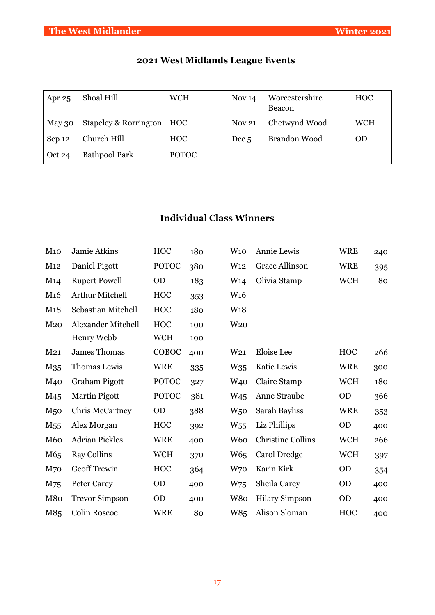| 2021 West Midlands League Events |  |
|----------------------------------|--|
|----------------------------------|--|

| Apr $25$       | Shoal Hill                | <b>WCH</b>      | Nov <sub>14</sub> | Worcestershire<br>Beacon | <b>HOC</b> |
|----------------|---------------------------|-----------------|-------------------|--------------------------|------------|
| May 30         | Stapeley & Rorrington HOC |                 | <b>Nov 21</b>     | Chetwynd Wood            | <b>WCH</b> |
| Sep 12         | Church Hill               | H <sub>OC</sub> | Dec <sub>5</sub>  | <b>Brandon Wood</b>      | <b>OD</b>  |
| $\vert$ Oct 24 | <b>Bathpool Park</b>      | <b>POTOC</b>    |                   |                          |            |

# **Individual Class Winners**

| M <sub>10</sub> | Jamie Atkins              | <b>HOC</b>   | 180 | W10             | Annie Lewis              | <b>WRE</b> | 240 |
|-----------------|---------------------------|--------------|-----|-----------------|--------------------------|------------|-----|
| M12             | Daniel Pigott             | <b>POTOC</b> | 380 | W <sub>12</sub> | Grace Allinson           | <b>WRE</b> | 395 |
| M14             | <b>Rupert Powell</b>      | <b>OD</b>    | 183 | W <sub>14</sub> | Olivia Stamp             | <b>WCH</b> | 80  |
| M <sub>16</sub> | Arthur Mitchell           | <b>HOC</b>   | 353 | W <sub>16</sub> |                          |            |     |
| M18             | Sebastian Mitchell        | <b>HOC</b>   | 180 | W <sub>18</sub> |                          |            |     |
| M <sub>20</sub> | <b>Alexander Mitchell</b> | <b>HOC</b>   | 100 | W <sub>20</sub> |                          |            |     |
|                 | Henry Webb                | <b>WCH</b>   | 100 |                 |                          |            |     |
| M <sub>21</sub> | James Thomas              | COBOC        | 400 | W <sub>21</sub> | Eloise Lee               | <b>HOC</b> | 266 |
| M <sub>35</sub> | Thomas Lewis              | <b>WRE</b>   | 335 | $W_{35}$        | Katie Lewis              | <b>WRE</b> | 300 |
| M <sub>40</sub> | Graham Pigott             | <b>POTOC</b> | 327 | W <sub>40</sub> | Claire Stamp             | <b>WCH</b> | 180 |
| M <sub>45</sub> | <b>Martin Pigott</b>      | <b>POTOC</b> | 381 | W <sub>45</sub> | Anne Straube             | OD         | 366 |
| M <sub>50</sub> | <b>Chris McCartney</b>    | <b>OD</b>    | 388 | W <sub>50</sub> | Sarah Bayliss            | <b>WRE</b> | 353 |
| M <sub>55</sub> | Alex Morgan               | HOC          | 392 | $W_{55}$        | Liz Phillips             | <b>OD</b>  | 400 |
| M <sub>6</sub>  | <b>Adrian Pickles</b>     | <b>WRE</b>   | 400 | W <sub>60</sub> | <b>Christine Collins</b> | <b>WCH</b> | 266 |
| M65             | Ray Collins               | <b>WCH</b>   | 370 | W <sub>65</sub> | Carol Dredge             | <b>WCH</b> | 397 |
| M <sub>70</sub> | Geoff Trewin              | <b>HOC</b>   | 364 | W <sub>70</sub> | Karin Kirk               | <b>OD</b>  | 354 |
| M75             | Peter Carey               | <b>OD</b>    | 400 | W <sub>75</sub> | Sheila Carey             | OD         | 400 |
| M80             | <b>Trevor Simpson</b>     | <b>OD</b>    | 400 | W <sub>80</sub> | <b>Hilary Simpson</b>    | <b>OD</b>  | 400 |
| M85             | Colin Roscoe              | <b>WRE</b>   | 80  | W85             | Alison Sloman            | <b>HOC</b> | 400 |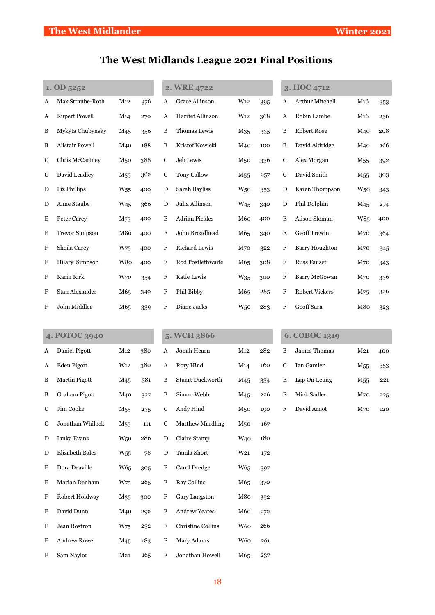# **The West Midlands League 2021 Final Positions**

| 1. OD 5252 |                        |                 |     | 2. WRE 4722               |                       |                 |     | 3. HOC 4712 |                        |                 |     |
|------------|------------------------|-----------------|-----|---------------------------|-----------------------|-----------------|-----|-------------|------------------------|-----------------|-----|
| A          | Max Straube-Roth       | M12             | 376 | A                         | <b>Grace Allinson</b> | W <sub>12</sub> | 395 | A           | <b>Arthur Mitchell</b> | M <sub>16</sub> | 353 |
| A          | <b>Rupert Powell</b>   | M <sub>14</sub> | 270 | A                         | Harriet Allinson      | W <sub>12</sub> | 368 | A           | Robin Lambe            | M <sub>16</sub> | 236 |
| B          | Mykyta Chubynsky       | M <sub>45</sub> | 356 | B                         | Thomas Lewis          | M <sub>35</sub> | 335 | B           | <b>Robert Rose</b>     | M40             | 208 |
| B          | <b>Alistair Powell</b> | M40             | 188 | $\, {\bf B}$              | Kristof Nowicki       | M40             | 100 | B           | David Aldridge         | M40             | 166 |
| C          | Chris McCartney        | M <sub>50</sub> | 388 | $\mathbf C$               | Jeb Lewis             | M50             | 336 | $\mathbf C$ | Alex Morgan            | M <sub>55</sub> | 392 |
| C          | David Leadley          | M <sub>55</sub> | 362 | $\mathbf C$               | <b>Tony Callow</b>    | M <sub>55</sub> | 257 | $\mathbf C$ | David Smith            | M <sub>55</sub> | 303 |
| D          | Liz Phillips           | $W_{55}$        | 400 | $\mathbf D$               | Sarah Bayliss         | W <sub>50</sub> | 353 | D           | Karen Thompson         | W <sub>50</sub> | 343 |
| D          | Anne Staube            | W <sub>45</sub> | 366 | $\mathbf D$               | Julia Allinson        | W <sub>45</sub> | 340 | D           | Phil Dolphin           | M <sub>45</sub> | 274 |
| Е          | Peter Carey            | M75             | 400 | $\bf E$                   | <b>Adrian Pickles</b> | M60             | 400 | E           | Alison Sloman          | W85             | 400 |
| E          | <b>Trevor Simpson</b>  | M80             | 400 | E                         | John Broadhead        | M65             | 340 | $\mathbf E$ | Geoff Trewin           | M <sub>70</sub> | 364 |
| F          | Sheila Carey           | W75             | 400 | $\boldsymbol{\mathrm{F}}$ | Richard Lewis         | M70             | 322 | $\rm F$     | <b>Barry Houghton</b>  | M <sub>70</sub> | 345 |
| F          | Hilary Simpson         | W80             | 400 | F                         | Rod Postlethwaite     | M65             | 308 | F           | <b>Russ Fauset</b>     | M <sub>70</sub> | 343 |
| F          | Karin Kirk             | W70             | 354 | $\boldsymbol{\mathrm{F}}$ | Katie Lewis           | $W_{35}$        | 300 | F           | Barry McGowan          | M <sub>70</sub> | 336 |
| F          | Stan Alexander         | M65             | 340 | $\boldsymbol{\mathrm{F}}$ | Phil Bibby            | M65             | 285 | F           | <b>Robert Vickers</b>  | M75             | 326 |
| F          | John Middler           | M65             | 339 | F                         | Diane Jacks           | W <sub>50</sub> | 283 | F           | Geoff Sara             | M80             | 323 |
|            |                        |                 |     |                           |                       |                 |     |             |                        |                 |     |

| 4. POTOC 3940             |                        |                 |     |             | 5. WCH 3866             |                 |     |             | 6. COBOC 1319 |                 |     |  |  |
|---------------------------|------------------------|-----------------|-----|-------------|-------------------------|-----------------|-----|-------------|---------------|-----------------|-----|--|--|
| A                         | Daniel Pigott          | M12             | 380 | A           | Jonah Hearn             | M12             | 282 | B           | James Thomas  | M <sub>21</sub> | 400 |  |  |
| A                         | Eden Pigott            | W <sub>12</sub> | 380 | A           | Rory Hind               | M <sub>14</sub> | 160 | $\mathbf C$ | Ian Gamlen    | M <sub>55</sub> | 353 |  |  |
| B                         | <b>Martin Pigott</b>   | M <sub>45</sub> | 381 | B           | <b>Stuart Duckworth</b> | M45             | 334 | E           | Lap On Leung  | M <sub>55</sub> | 221 |  |  |
| B                         | Graham Pigott          | M40             | 327 | B           | Simon Webb              | M45             | 226 | E           | Mick Sadler   | M <sub>70</sub> | 225 |  |  |
| $\mathbf C$               | Jim Cooke              | M <sub>55</sub> | 235 | $\mathbf C$ | Andy Hind               | M <sub>50</sub> | 190 | $\rm F$     | David Arnot   | M <sub>70</sub> | 120 |  |  |
| C                         | Jonathan Whilock       | M <sub>55</sub> | 111 | $\mathbf C$ | <b>Matthew Mardling</b> | M <sub>50</sub> | 167 |             |               |                 |     |  |  |
| D                         | Ianka Evans            | W <sub>50</sub> | 286 | D           | Claire Stamp            | W <sub>40</sub> | 180 |             |               |                 |     |  |  |
| D                         | <b>Elizabeth Bales</b> | $W_{55}$        | 78  | ${\bf D}$   | Tamla Short             | W <sub>21</sub> | 172 |             |               |                 |     |  |  |
| E                         | Dora Deaville          | W <sub>65</sub> | 305 | $\mathbf E$ | Carol Dredge            | W <sub>65</sub> | 397 |             |               |                 |     |  |  |
| Ε                         | Marian Denham          | W75             | 285 | E           | <b>Ray Collins</b>      | M65             | 370 |             |               |                 |     |  |  |
| $\mathbf F$               | Robert Holdway         | M35             | 300 | $\mathbf F$ | Gary Langston           | M80             | 352 |             |               |                 |     |  |  |
| $\boldsymbol{\mathrm{F}}$ | David Dunn             | M40             | 292 | $\mathbf F$ | <b>Andrew Yeates</b>    | M60             | 272 |             |               |                 |     |  |  |
| F                         | Jean Rostron           | W <sub>75</sub> | 232 | $\mathbf F$ | Christine Collins       | W <sub>60</sub> | 266 |             |               |                 |     |  |  |
| F                         | <b>Andrew Rowe</b>     | M <sub>45</sub> | 183 | $\mathbf F$ | Mary Adams              | W <sub>60</sub> | 261 |             |               |                 |     |  |  |
| F                         | Sam Naylor             | M <sub>21</sub> | 165 | F           | Jonathan Howell         | M65             | 237 |             |               |                 |     |  |  |

| B. | James Thomas | M21  | 400 |
|----|--------------|------|-----|
| C. | Ian Gamlen   | M55. | 353 |
| E  | Lap On Leung | M55  | 221 |
| E. | Mick Sadler  | M70  | 225 |
|    | David Arnot  | M70  | 120 |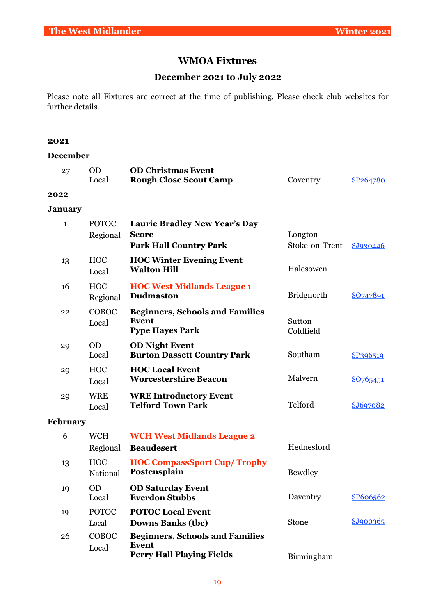# **WMOA Fixtures**

# **December 2021 to July 2022**

Please note all Fixtures are correct at the time of publishing. Please check club websites for further details.

#### **2021**

#### **December**

| 27             | <b>OD</b><br>Local       | <b>OD Christmas Event</b><br><b>Rough Close Scout Camp</b>                                 | Coventry                  | SP264780 |
|----------------|--------------------------|--------------------------------------------------------------------------------------------|---------------------------|----------|
| 2022           |                          |                                                                                            |                           |          |
| <b>January</b> |                          |                                                                                            |                           |          |
| $\mathbf{1}$   | <b>POTOC</b><br>Regional | <b>Laurie Bradley New Year's Day</b><br><b>Score</b><br><b>Park Hall Country Park</b>      | Longton<br>Stoke-on-Trent | SJ930446 |
| 13             | <b>HOC</b><br>Local      | <b>HOC Winter Evening Event</b><br><b>Walton Hill</b>                                      | Halesowen                 |          |
| 16             | <b>HOC</b><br>Regional   | <b>HOC West Midlands League 1</b><br><b>Dudmaston</b>                                      | <b>Bridgnorth</b>         | SO747891 |
| 22             | COBOC<br>Local           | <b>Beginners, Schools and Families</b><br><b>Event</b><br><b>Pype Hayes Park</b>           | Sutton<br>Coldfield       |          |
| 29             | <b>OD</b><br>Local       | <b>OD Night Event</b><br><b>Burton Dassett Country Park</b>                                | Southam                   | SP396519 |
| 29             | <b>HOC</b><br>Local      | <b>HOC Local Event</b><br><b>Worcestershire Beacon</b>                                     | Malvern                   | SO765451 |
| 29             | <b>WRE</b><br>Local      | <b>WRE Introductory Event</b><br><b>Telford Town Park</b>                                  | Telford                   | SJ697082 |
| February       |                          |                                                                                            |                           |          |
| 6              | <b>WCH</b><br>Regional   | <b>WCH West Midlands League 2</b><br><b>Beaudesert</b>                                     | Hednesford                |          |
| 13             | HOC<br>National          | <b>HOC CompassSport Cup/ Trophy</b><br>Postensplain                                        | <b>Bewdley</b>            |          |
| 19             | <b>OD</b><br>Local       | <b>OD Saturday Event</b><br><b>Everdon Stubbs</b>                                          | Daventry                  | SP606562 |
| 19             | <b>POTOC</b><br>Local    | <b>POTOC Local Event</b><br><b>Downs Banks (tbc)</b>                                       | Stone                     | SJ900365 |
| 26             | COBOC<br>Local           | <b>Beginners, Schools and Families</b><br><b>Event</b><br><b>Perry Hall Playing Fields</b> | Birmingham                |          |